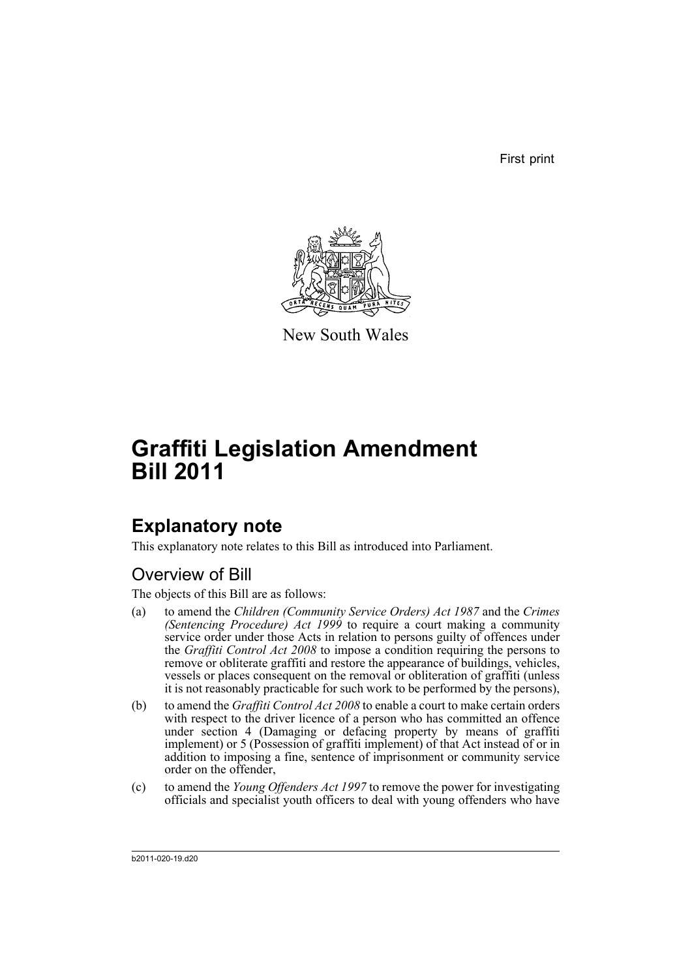First print



New South Wales

# **Graffiti Legislation Amendment Bill 2011**

# **Explanatory note**

This explanatory note relates to this Bill as introduced into Parliament.

## Overview of Bill

The objects of this Bill are as follows:

- (a) to amend the *Children (Community Service Orders) Act 1987* and the *Crimes (Sentencing Procedure) Act 1999* to require a court making a community service order under those Acts in relation to persons guilty of offences under the *Graffiti Control Act 2008* to impose a condition requiring the persons to remove or obliterate graffiti and restore the appearance of buildings, vehicles, vessels or places consequent on the removal or obliteration of graffiti (unless it is not reasonably practicable for such work to be performed by the persons),
- (b) to amend the *Graffiti Control Act 2008* to enable a court to make certain orders with respect to the driver licence of a person who has committed an offence under section 4 (Damaging or defacing property by means of graffiti implement) or 5 (Possession of graffiti implement) of that Act instead of or in addition to imposing a fine, sentence of imprisonment or community service order on the offender,
- (c) to amend the *Young Offenders Act 1997* to remove the power for investigating officials and specialist youth officers to deal with young offenders who have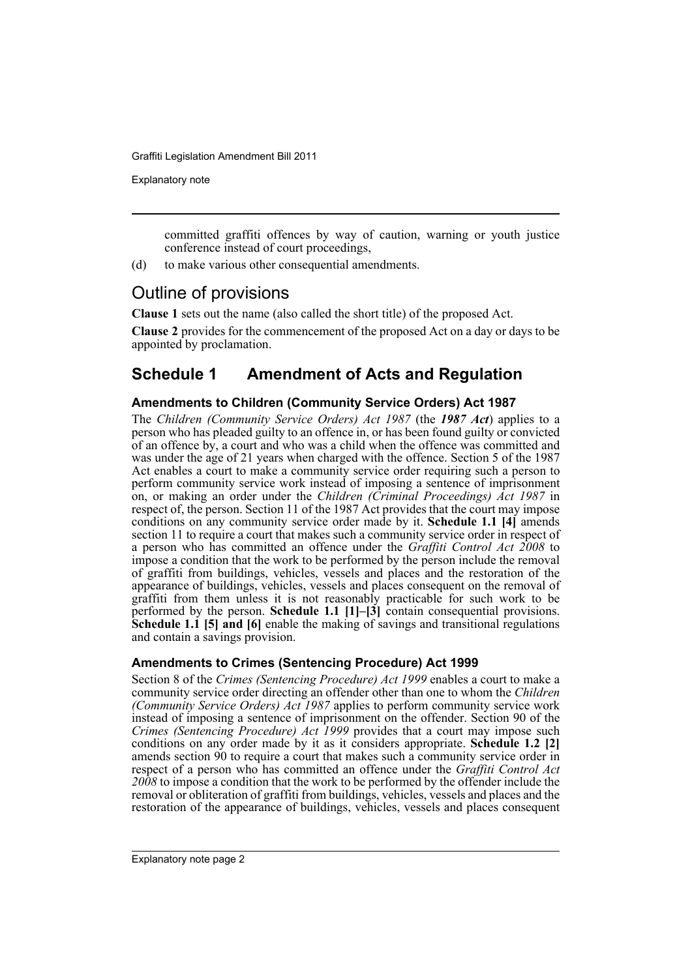Explanatory note

committed graffiti offences by way of caution, warning or youth justice conference instead of court proceedings,

(d) to make various other consequential amendments.

### Outline of provisions

**Clause 1** sets out the name (also called the short title) of the proposed Act.

**Clause 2** provides for the commencement of the proposed Act on a day or days to be appointed by proclamation.

### **Schedule 1 Amendment of Acts and Regulation**

### **Amendments to Children (Community Service Orders) Act 1987**

The *Children (Community Service Orders) Act 1987* (the *1987 Act*) applies to a person who has pleaded guilty to an offence in, or has been found guilty or convicted of an offence by, a court and who was a child when the offence was committed and was under the age of 21 years when charged with the offence. Section 5 of the 1987 Act enables a court to make a community service order requiring such a person to perform community service work instead of imposing a sentence of imprisonment on, or making an order under the *Children (Criminal Proceedings) Act 1987* in respect of, the person. Section 11 of the 1987 Act provides that the court may impose conditions on any community service order made by it. **Schedule 1.1 [4]** amends section 11 to require a court that makes such a community service order in respect of a person who has committed an offence under the *Graffiti Control Act 2008* to impose a condition that the work to be performed by the person include the removal of graffiti from buildings, vehicles, vessels and places and the restoration of the appearance of buildings, vehicles, vessels and places consequent on the removal of graffiti from them unless it is not reasonably practicable for such work to be performed by the person. **Schedule 1.1**  $[1]$ – $[3]$  contain consequential provisions. **Schedule 1.1 [5] and [6]** enable the making of savings and transitional regulations and contain a savings provision.

### **Amendments to Crimes (Sentencing Procedure) Act 1999**

Section 8 of the *Crimes (Sentencing Procedure) Act 1999* enables a court to make a community service order directing an offender other than one to whom the *Children (Community Service Orders) Act 1987* applies to perform community service work instead of imposing a sentence of imprisonment on the offender. Section 90 of the *Crimes (Sentencing Procedure) Act 1999* provides that a court may impose such conditions on any order made by it as it considers appropriate. **Schedule 1.2 [2]** amends section 90 to require a court that makes such a community service order in respect of a person who has committed an offence under the *Graffiti Control Act 2008* to impose a condition that the work to be performed by the offender include the removal or obliteration of graffiti from buildings, vehicles, vessels and places and the restoration of the appearance of buildings, vehicles, vessels and places consequent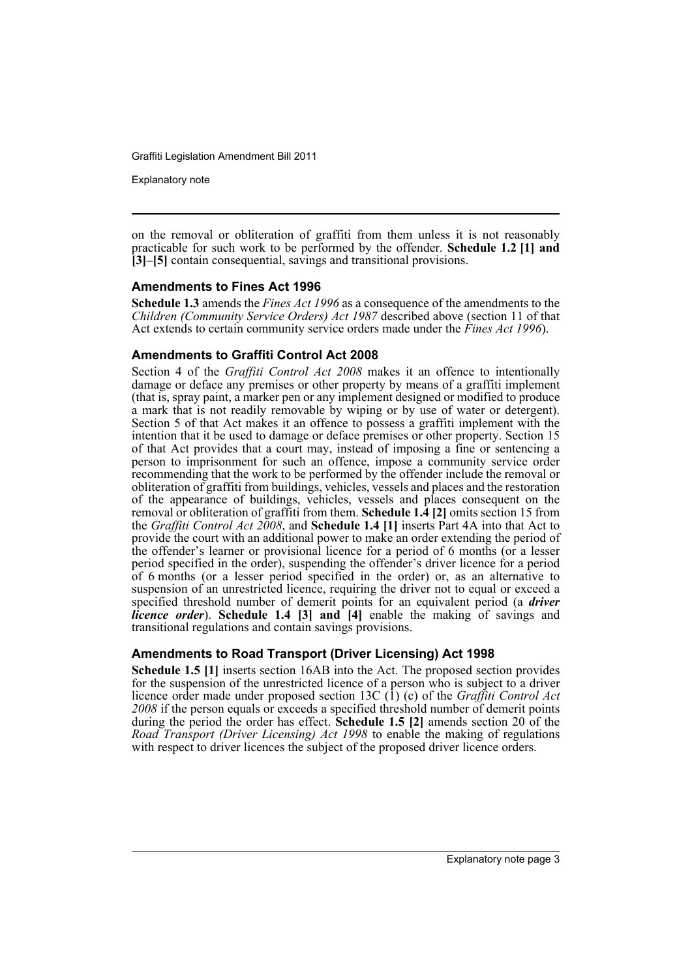Explanatory note

on the removal or obliteration of graffiti from them unless it is not reasonably practicable for such work to be performed by the offender. **Schedule 1.2 [1] and [3]–[5]** contain consequential, savings and transitional provisions.

### **Amendments to Fines Act 1996**

**Schedule 1.3** amends the *Fines Act 1996* as a consequence of the amendments to the *Children (Community Service Orders) Act 1987* described above (section 11 of that Act extends to certain community service orders made under the *Fines Act 1996*).

### **Amendments to Graffiti Control Act 2008**

Section 4 of the *Graffiti Control Act 2008* makes it an offence to intentionally damage or deface any premises or other property by means of a graffiti implement (that is, spray paint, a marker pen or any implement designed or modified to produce a mark that is not readily removable by wiping or by use of water or detergent). Section 5 of that Act makes it an offence to possess a graffiti implement with the intention that it be used to damage or deface premises or other property. Section 15 of that Act provides that a court may, instead of imposing a fine or sentencing a person to imprisonment for such an offence, impose a community service order recommending that the work to be performed by the offender include the removal or obliteration of graffiti from buildings, vehicles, vessels and places and the restoration of the appearance of buildings, vehicles, vessels and places consequent on the removal or obliteration of graffiti from them. **Schedule 1.4 [2]** omits section 15 from the *Graffiti Control Act 2008*, and **Schedule 1.4 [1]** inserts Part 4A into that Act to provide the court with an additional power to make an order extending the period of the offender's learner or provisional licence for a period of 6 months (or a lesser period specified in the order), suspending the offender's driver licence for a period of 6 months (or a lesser period specified in the order) or, as an alternative to suspension of an unrestricted licence, requiring the driver not to equal or exceed a specified threshold number of demerit points for an equivalent period (a *driver licence order*). **Schedule 1.4 [3] and [4]** enable the making of savings and transitional regulations and contain savings provisions.

### **Amendments to Road Transport (Driver Licensing) Act 1998**

**Schedule 1.5 [1]** inserts section 16AB into the Act. The proposed section provides for the suspension of the unrestricted licence of a person who is subject to a driver licence order made under proposed section 13C (1) (c) of the *Graffiti Control Act 2008* if the person equals or exceeds a specified threshold number of demerit points during the period the order has effect. **Schedule 1.5 [2]** amends section 20 of the *Road Transport (Driver Licensing) Act 1998* to enable the making of regulations with respect to driver licences the subject of the proposed driver licence orders.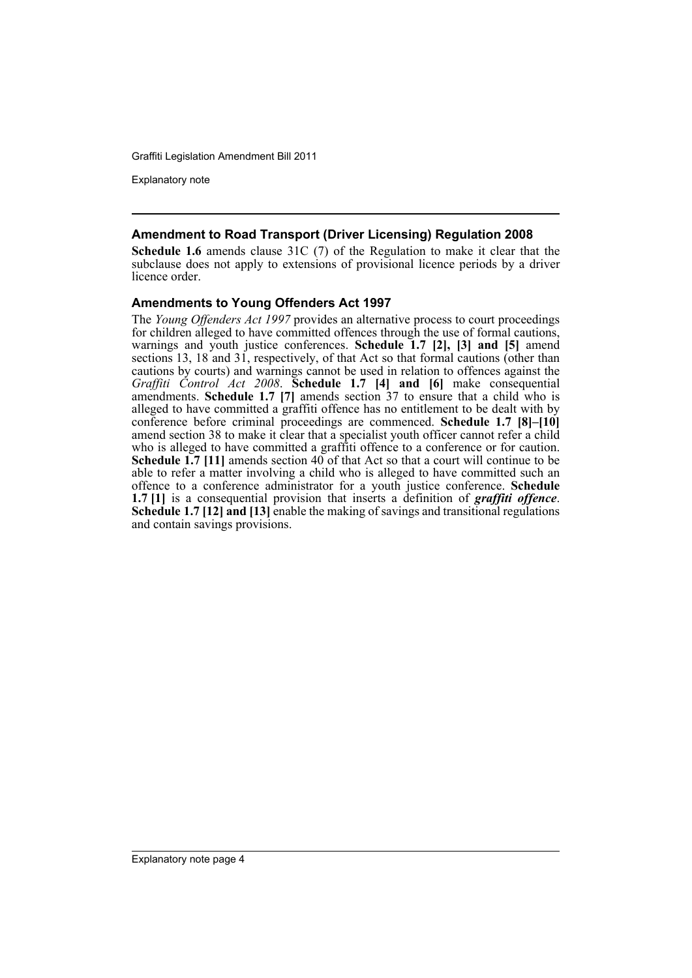Explanatory note

### **Amendment to Road Transport (Driver Licensing) Regulation 2008**

**Schedule 1.6** amends clause 31C (7) of the Regulation to make it clear that the subclause does not apply to extensions of provisional licence periods by a driver licence order.

### **Amendments to Young Offenders Act 1997**

The *Young Offenders Act 1997* provides an alternative process to court proceedings for children alleged to have committed offences through the use of formal cautions, warnings and youth justice conferences. **Schedule 1.7 [2], [3] and [5]** amend sections 13, 18 and 31, respectively, of that Act so that formal cautions (other than cautions by courts) and warnings cannot be used in relation to offences against the *Graffiti Control Act 2008*. **Schedule 1.7 [4] and [6]** make consequential amendments. **Schedule 1.7 [7]** amends section 37 to ensure that a child who is alleged to have committed a graffiti offence has no entitlement to be dealt with by conference before criminal proceedings are commenced. **Schedule 1.7 [8]–[10]** amend section 38 to make it clear that a specialist youth officer cannot refer a child who is alleged to have committed a graffiti offence to a conference or for caution. **Schedule 1.7** [11] amends section 40 of that Act so that a court will continue to be able to refer a matter involving a child who is alleged to have committed such an offence to a conference administrator for a youth justice conference. **Schedule 1.7 [1]** is a consequential provision that inserts a definition of *graffiti offence*. **Schedule 1.7 [12] and [13]** enable the making of savings and transitional regulations and contain savings provisions.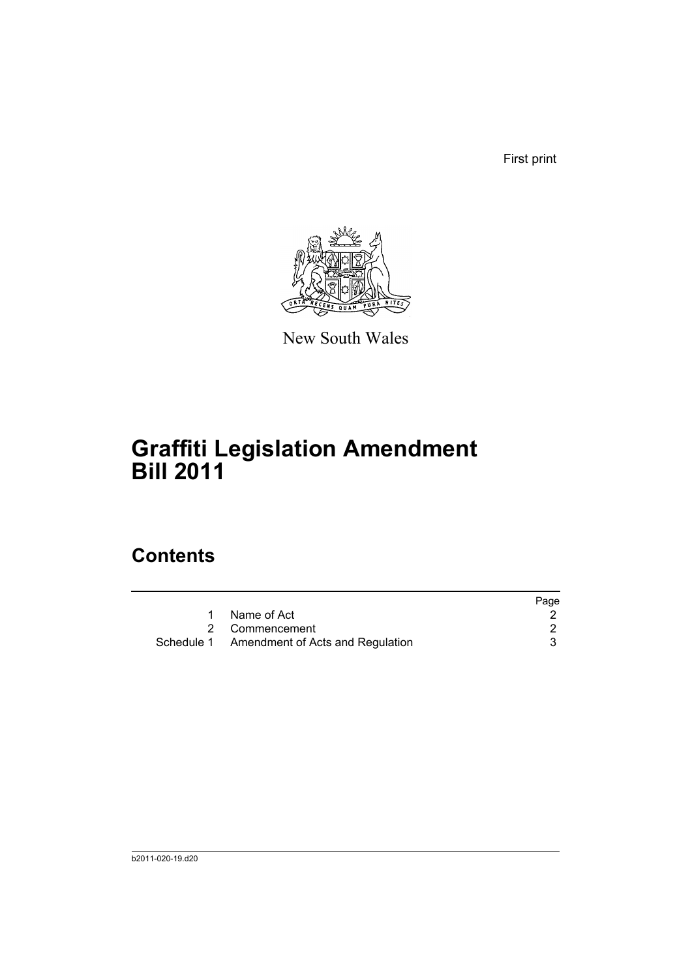First print



New South Wales

# **Graffiti Legislation Amendment Bill 2011**

# **Contents**

|                                             | Page |
|---------------------------------------------|------|
| Name of Act                                 |      |
| 2 Commencement                              |      |
| Schedule 1 Amendment of Acts and Regulation |      |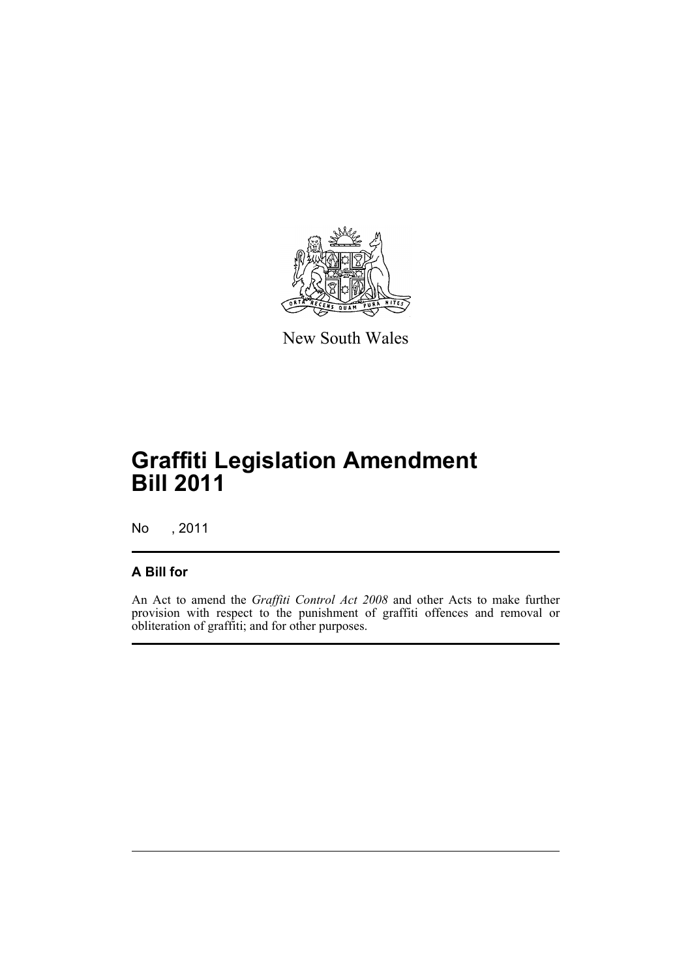

New South Wales

# **Graffiti Legislation Amendment Bill 2011**

No , 2011

### **A Bill for**

An Act to amend the *Graffiti Control Act 2008* and other Acts to make further provision with respect to the punishment of graffiti offences and removal or obliteration of graffiti; and for other purposes.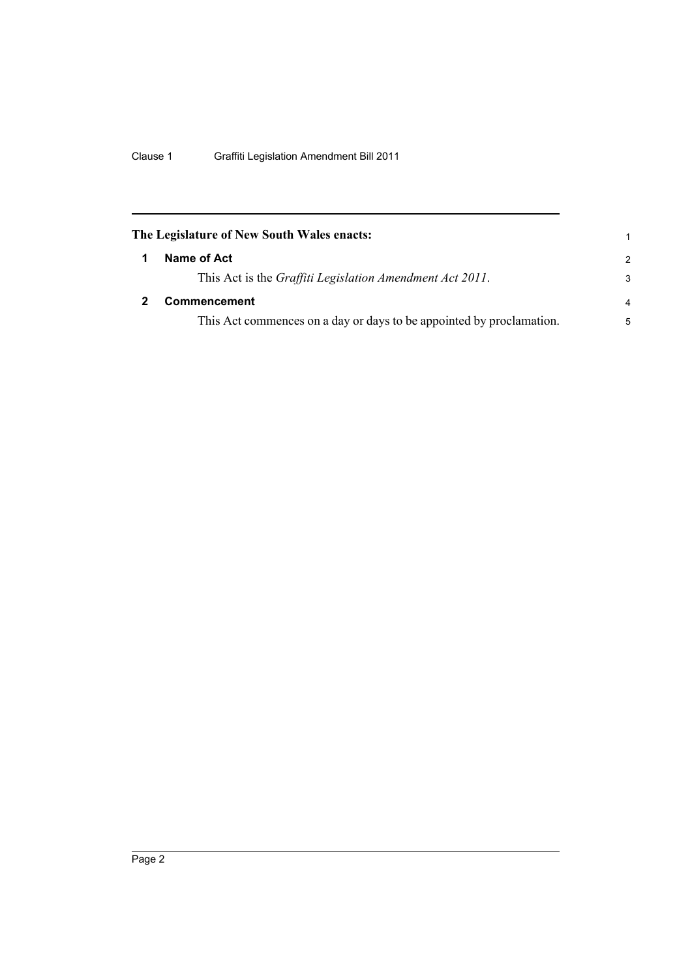<span id="page-7-1"></span><span id="page-7-0"></span>

| The Legislature of New South Wales enacts:                           | 1             |
|----------------------------------------------------------------------|---------------|
| Name of Act                                                          | $\mathcal{P}$ |
| This Act is the Graffiti Legislation Amendment Act 2011.             | 3             |
| <b>Commencement</b>                                                  | 4             |
| This Act commences on a day or days to be appointed by proclamation. | 5             |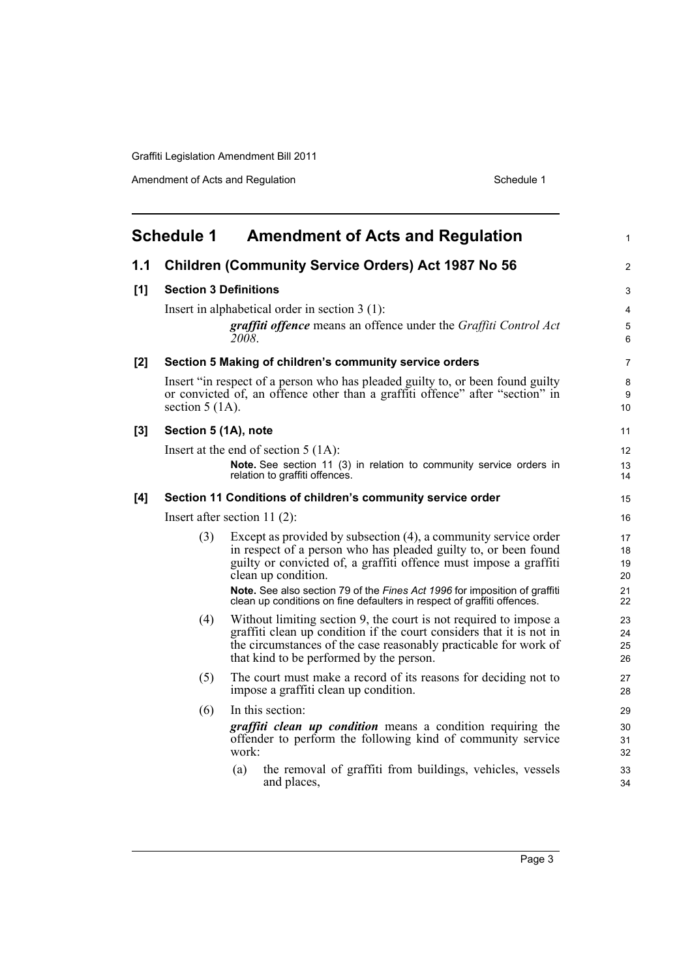Amendment of Acts and Regulation Schedule 1

<span id="page-8-0"></span>

|     | <b>Schedule 1</b><br><b>Amendment of Acts and Regulation</b> |                                                                                                                                                                                                         |                |  |  |
|-----|--------------------------------------------------------------|---------------------------------------------------------------------------------------------------------------------------------------------------------------------------------------------------------|----------------|--|--|
| 1.1 |                                                              | <b>Children (Community Service Orders) Act 1987 No 56</b>                                                                                                                                               | 2              |  |  |
| [1] |                                                              | <b>Section 3 Definitions</b>                                                                                                                                                                            | 3              |  |  |
|     |                                                              | Insert in alphabetical order in section $3(1)$ :                                                                                                                                                        | 4              |  |  |
|     |                                                              | graffiti offence means an offence under the Graffiti Control Act<br>2008.                                                                                                                               | 5<br>6         |  |  |
| [2] |                                                              | Section 5 Making of children's community service orders                                                                                                                                                 | $\overline{7}$ |  |  |
|     | section $5(1A)$ .                                            | Insert "in respect of a person who has pleaded guilty to, or been found guilty<br>or convicted of, an offence other than a graffiti offence" after "section" in                                         | 8<br>9<br>10   |  |  |
| [3] | Section 5 (1A), note                                         |                                                                                                                                                                                                         | 11             |  |  |
|     |                                                              | Insert at the end of section $5(1A)$ :                                                                                                                                                                  | 12             |  |  |
|     |                                                              | Note. See section 11 (3) in relation to community service orders in<br>relation to graffiti offences.                                                                                                   | 13<br>14       |  |  |
| [4] |                                                              | Section 11 Conditions of children's community service order                                                                                                                                             | 15             |  |  |
|     | Insert after section $11(2)$ :                               |                                                                                                                                                                                                         |                |  |  |
|     | (3)                                                          | Except as provided by subsection (4), a community service order<br>in respect of a person who has pleaded guilty to, or been found<br>guilty or convicted of, a graffiti offence must impose a graffiti | 17<br>18<br>19 |  |  |
|     |                                                              | clean up condition.                                                                                                                                                                                     | 20             |  |  |
|     |                                                              | Note. See also section 79 of the Fines Act 1996 for imposition of graffiti<br>clean up conditions on fine defaulters in respect of graffiti offences.                                                   | 21<br>22       |  |  |
|     | (4)                                                          | Without limiting section 9, the court is not required to impose a                                                                                                                                       | 23             |  |  |
|     |                                                              | graffiti clean up condition if the court considers that it is not in<br>the circumstances of the case reasonably practicable for work of                                                                | 24<br>25       |  |  |
|     |                                                              | that kind to be performed by the person.                                                                                                                                                                | 26             |  |  |
|     | (5)                                                          | The court must make a record of its reasons for deciding not to<br>impose a graffiti clean up condition.                                                                                                | 27<br>28       |  |  |
|     | (6)                                                          | In this section:                                                                                                                                                                                        | 29             |  |  |
|     |                                                              | <i>graffiti clean up condition</i> means a condition requiring the<br>offender to perform the following kind of community service<br>work:                                                              | 30<br>31<br>32 |  |  |
|     |                                                              | the removal of graffiti from buildings, vehicles, vessels<br>(a)<br>and places,                                                                                                                         | 33<br>34       |  |  |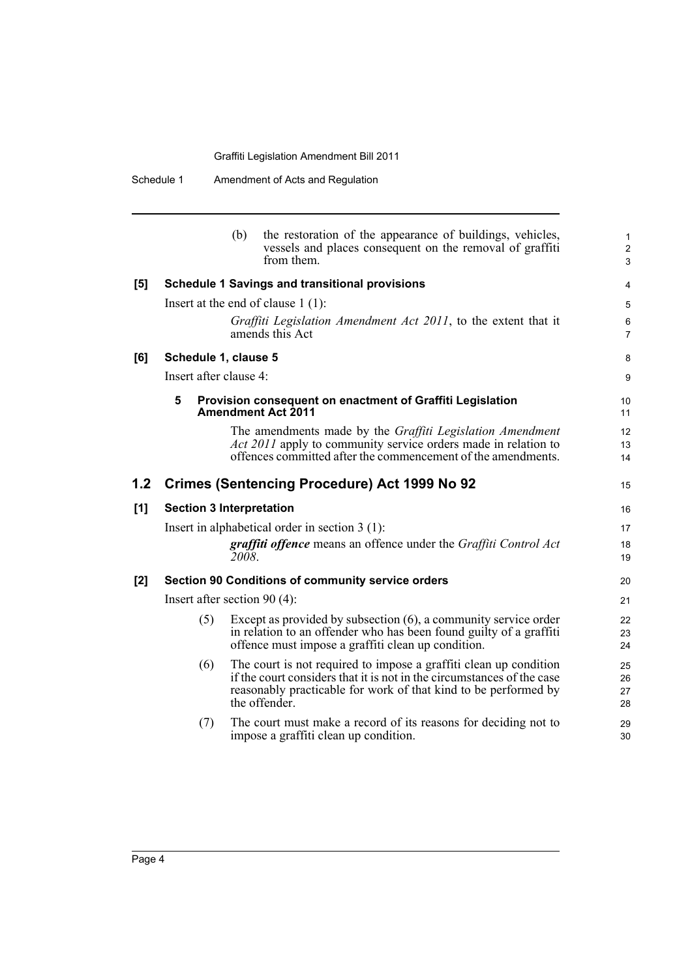|       |                                 | (b)   | the restoration of the appearance of buildings, vehicles,<br>vessels and places consequent on the removal of graffiti<br>from them.                                                                                             | $\mathbf 1$<br>$\overline{c}$<br>3 |
|-------|---------------------------------|-------|---------------------------------------------------------------------------------------------------------------------------------------------------------------------------------------------------------------------------------|------------------------------------|
| [5]   |                                 |       | <b>Schedule 1 Savings and transitional provisions</b>                                                                                                                                                                           | 4                                  |
|       |                                 |       | Insert at the end of clause $1(1)$ :                                                                                                                                                                                            | 5                                  |
|       |                                 |       | Graffiti Legislation Amendment Act 2011, to the extent that it<br>amends this Act                                                                                                                                               | 6<br>$\overline{7}$                |
| [6]   | Schedule 1, clause 5            |       |                                                                                                                                                                                                                                 | 8                                  |
|       | Insert after clause 4:          |       |                                                                                                                                                                                                                                 | 9                                  |
|       | 5                               |       | Provision consequent on enactment of Graffiti Legislation<br><b>Amendment Act 2011</b>                                                                                                                                          | 10<br>11                           |
|       |                                 |       | The amendments made by the <i>Graffiti Legislation Amendment</i><br><i>Act 2011</i> apply to community service orders made in relation to<br>offences committed after the commencement of the amendments.                       | 12<br>13<br>14                     |
| 1.2   |                                 |       | <b>Crimes (Sentencing Procedure) Act 1999 No 92</b>                                                                                                                                                                             | 15                                 |
| [1]   | <b>Section 3 Interpretation</b> |       |                                                                                                                                                                                                                                 | 16                                 |
|       |                                 |       | Insert in alphabetical order in section $3(1)$ :                                                                                                                                                                                | 17                                 |
|       |                                 | 2008. | graffiti offence means an offence under the Graffiti Control Act                                                                                                                                                                | 18<br>19                           |
| $[2]$ |                                 |       | Section 90 Conditions of community service orders                                                                                                                                                                               | 20                                 |
|       | Insert after section $90(4)$ :  |       |                                                                                                                                                                                                                                 | 21                                 |
|       | (5)                             |       | Except as provided by subsection $(6)$ , a community service order<br>in relation to an offender who has been found guilty of a graffiti<br>offence must impose a graffiti clean up condition.                                  | 22<br>23<br>24                     |
|       | (6)                             |       | The court is not required to impose a graffiti clean up condition<br>if the court considers that it is not in the circumstances of the case<br>reasonably practicable for work of that kind to be performed by<br>the offender. | 25<br>26<br>27<br>28               |
|       | (7)                             |       | The court must make a record of its reasons for deciding not to                                                                                                                                                                 | 29                                 |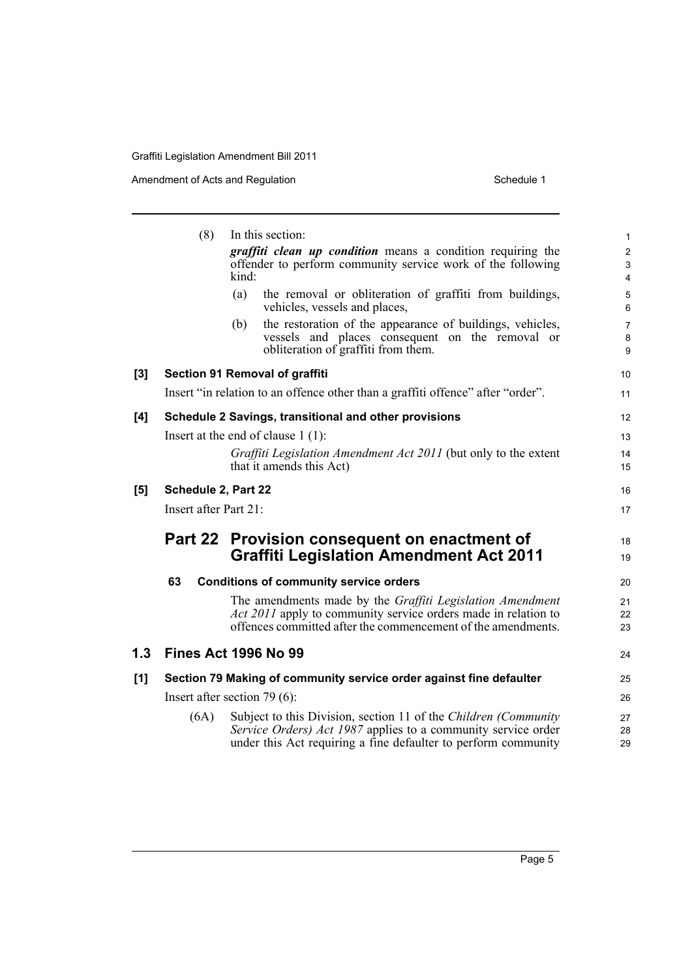|       | (8)                                  | In this section:                                                                                                                | $\mathbf{1}$                                |  |  |
|-------|--------------------------------------|---------------------------------------------------------------------------------------------------------------------------------|---------------------------------------------|--|--|
|       |                                      | graffiti clean up condition means a condition requiring the                                                                     | $\overline{2}$                              |  |  |
|       |                                      | offender to perform community service work of the following<br>kind:                                                            | $\ensuremath{\mathsf{3}}$<br>$\overline{4}$ |  |  |
|       |                                      | the removal or obliteration of graffiti from buildings,<br>(a)                                                                  | $\mathbf 5$                                 |  |  |
|       |                                      | vehicles, vessels and places,                                                                                                   | $\,6\,$                                     |  |  |
|       |                                      | the restoration of the appearance of buildings, vehicles,<br>(b)                                                                | $\overline{7}$                              |  |  |
|       |                                      | vessels and places consequent on the removal or<br>obliteration of graffiti from them.                                          | 8<br>9                                      |  |  |
| $[3]$ |                                      | Section 91 Removal of graffiti                                                                                                  | 10                                          |  |  |
|       |                                      | Insert "in relation to an offence other than a graffiti offence" after "order".                                                 | 11                                          |  |  |
| [4]   |                                      | Schedule 2 Savings, transitional and other provisions                                                                           | 12                                          |  |  |
|       | Insert at the end of clause $1(1)$ : |                                                                                                                                 |                                             |  |  |
|       |                                      | Graffiti Legislation Amendment Act 2011 (but only to the extent                                                                 | 14                                          |  |  |
|       |                                      | that it amends this Act)                                                                                                        | 15                                          |  |  |
| [5]   | Schedule 2, Part 22                  |                                                                                                                                 | 16                                          |  |  |
|       | Insert after Part 21:                |                                                                                                                                 | 17                                          |  |  |
|       |                                      | Part 22 Provision consequent on enactment of                                                                                    | 18                                          |  |  |
|       |                                      | <b>Graffiti Legislation Amendment Act 2011</b>                                                                                  | 19                                          |  |  |
|       | 63                                   | <b>Conditions of community service orders</b>                                                                                   | 20                                          |  |  |
|       |                                      | The amendments made by the Graffiti Legislation Amendment                                                                       | 21                                          |  |  |
|       |                                      | Act 2011 apply to community service orders made in relation to<br>offences committed after the commencement of the amendments.  | 22                                          |  |  |
|       |                                      |                                                                                                                                 | 23                                          |  |  |
| 1.3   |                                      | <b>Fines Act 1996 No 99</b>                                                                                                     | 24                                          |  |  |
| [1]   |                                      | Section 79 Making of community service order against fine defaulter                                                             | 25                                          |  |  |
|       | Insert after section $79(6)$ :       |                                                                                                                                 |                                             |  |  |
|       | (6A)                                 | Subject to this Division, section 11 of the Children (Community                                                                 | 27                                          |  |  |
|       |                                      | Service Orders) Act 1987 applies to a community service order<br>under this Act requiring a fine defaulter to perform community | 28<br>29                                    |  |  |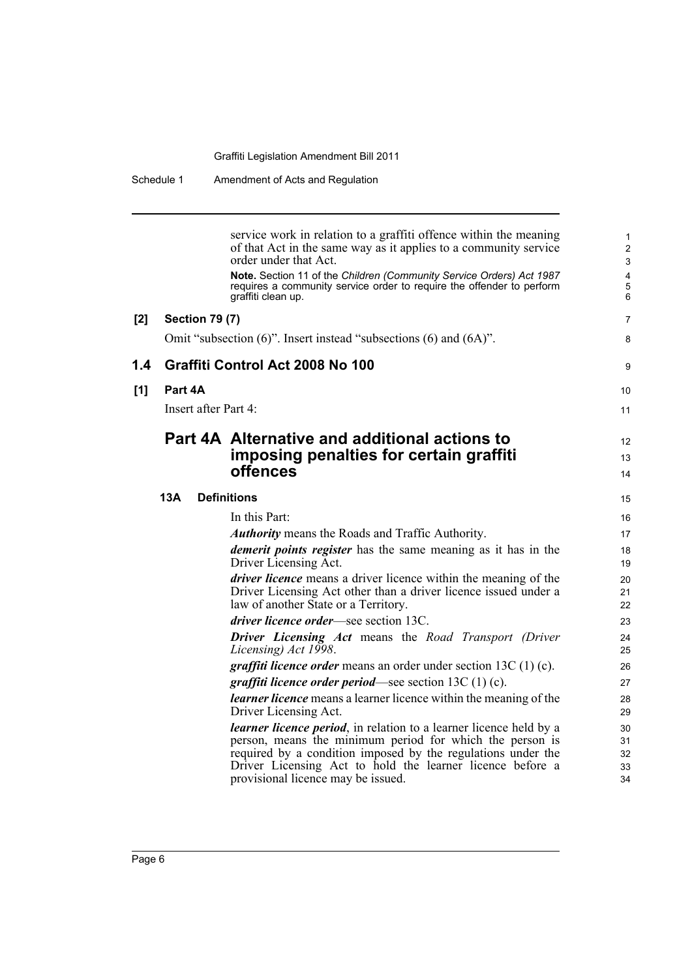|     |                       | service work in relation to a graffiti offence within the meaning<br>of that Act in the same way as it applies to a community service<br>order under that Act.                    | $\mathbf{1}$<br>$\overline{2}$<br>3 |
|-----|-----------------------|-----------------------------------------------------------------------------------------------------------------------------------------------------------------------------------|-------------------------------------|
|     |                       | Note. Section 11 of the Children (Community Service Orders) Act 1987<br>requires a community service order to require the offender to perform<br>graffiti clean up.               | 4<br>$\overline{5}$<br>6            |
| [2] | <b>Section 79 (7)</b> |                                                                                                                                                                                   | $\overline{7}$                      |
|     |                       | Omit "subsection (6)". Insert instead "subsections (6) and (6A)".                                                                                                                 | 8                                   |
| 1.4 |                       | Graffiti Control Act 2008 No 100                                                                                                                                                  | 9                                   |
| [1] | Part 4A               |                                                                                                                                                                                   | 10                                  |
|     |                       | Insert after Part 4:                                                                                                                                                              | 11                                  |
|     |                       | Part 4A Alternative and additional actions to                                                                                                                                     | $12 \overline{ }$                   |
|     |                       | imposing penalties for certain graffiti                                                                                                                                           | 13                                  |
|     |                       | offences                                                                                                                                                                          | 14                                  |
|     | 13A                   | <b>Definitions</b>                                                                                                                                                                | 15                                  |
|     |                       | In this Part:                                                                                                                                                                     | 16                                  |
|     |                       | <b>Authority</b> means the Roads and Traffic Authority.                                                                                                                           | 17                                  |
|     |                       | <i>demerit points register</i> has the same meaning as it has in the<br>Driver Licensing Act.                                                                                     | 18<br>19                            |
|     |                       | <i>driver licence</i> means a driver licence within the meaning of the<br>Driver Licensing Act other than a driver licence issued under a<br>law of another State or a Territory. | 20<br>21<br>22                      |
|     |                       | <i>driver licence order</i> —see section 13C.                                                                                                                                     | 23                                  |
|     |                       | <b>Driver Licensing Act means the Road Transport (Driver)</b><br>Licensing) Act 1998.                                                                                             | 24<br>25                            |
|     |                       | <i>graffiti licence order</i> means an order under section $13C(1)(c)$ .                                                                                                          | 26                                  |
|     |                       | <i>graffiti licence order period</i> —see section $13C(1)(c)$ .                                                                                                                   | 27                                  |
|     |                       | <i>learner licence</i> means a learner licence within the meaning of the<br>Driver Licensing Act.                                                                                 | 28<br>29                            |
|     |                       | <i>learner licence period</i> , in relation to a learner licence held by a                                                                                                        | 30                                  |
|     |                       | person, means the minimum period for which the person is                                                                                                                          | 31                                  |
|     |                       | required by a condition imposed by the regulations under the<br>Driver Licensing Act to hold the learner licence before a                                                         | 32<br>33                            |
|     |                       | provisional licence may be issued.                                                                                                                                                | 34                                  |
|     |                       |                                                                                                                                                                                   |                                     |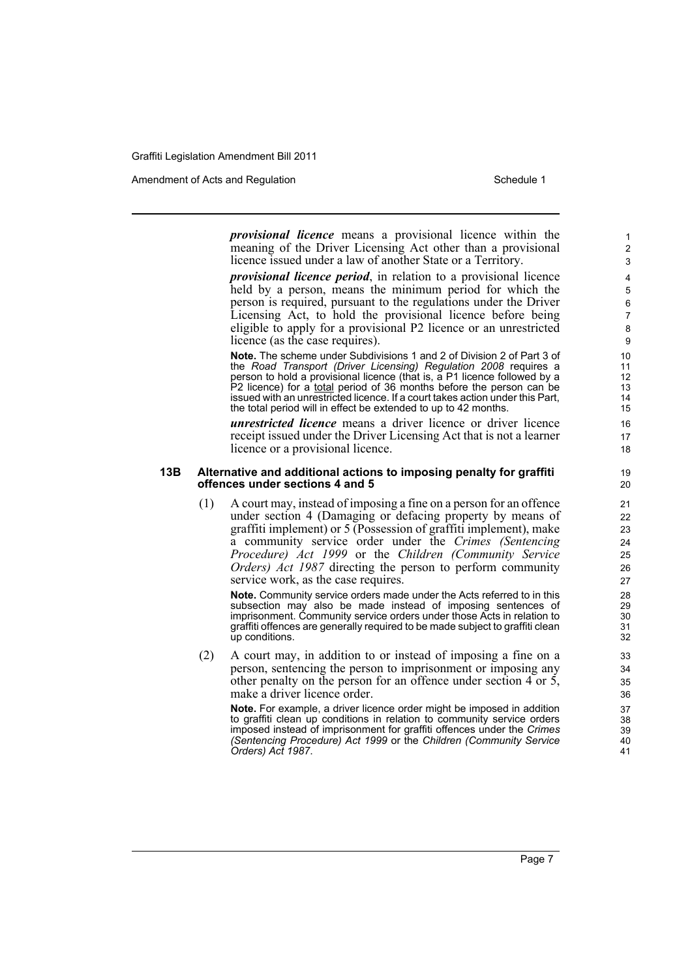Amendment of Acts and Regulation Schedule 1 and Schedule 1

*provisional licence* means a provisional licence within the meaning of the Driver Licensing Act other than a provisional licence issued under a law of another State or a Territory.

*provisional licence period*, in relation to a provisional licence held by a person, means the minimum period for which the person is required, pursuant to the regulations under the Driver Licensing Act, to hold the provisional licence before being eligible to apply for a provisional P2 licence or an unrestricted licence (as the case requires).

**Note.** The scheme under Subdivisions 1 and 2 of Division 2 of Part 3 of the *Road Transport (Driver Licensing) Regulation 2008* requires a person to hold a provisional licence (that is, a P1 licence followed by a P2 licence) for a total period of 36 months before the person can be issued with an unrestricted licence. If a court takes action under this Part, the total period will in effect be extended to up to 42 months.

*unrestricted licence* means a driver licence or driver licence receipt issued under the Driver Licensing Act that is not a learner licence or a provisional licence.

#### **13B Alternative and additional actions to imposing penalty for graffiti offences under sections 4 and 5**

(1) A court may, instead of imposing a fine on a person for an offence under section 4 (Damaging or defacing property by means of graffiti implement) or 5 (Possession of graffiti implement), make a community service order under the *Crimes (Sentencing Procedure) Act 1999* or the *Children (Community Service Orders) Act 1987* directing the person to perform community service work, as the case requires.

**Note.** Community service orders made under the Acts referred to in this subsection may also be made instead of imposing sentences of imprisonment. Community service orders under those Acts in relation to graffiti offences are generally required to be made subject to graffiti clean up conditions.

(2) A court may, in addition to or instead of imposing a fine on a person, sentencing the person to imprisonment or imposing any other penalty on the person for an offence under section  $4$  or  $5$ , make a driver licence order.

**Note.** For example, a driver licence order might be imposed in addition to graffiti clean up conditions in relation to community service orders imposed instead of imprisonment for graffiti offences under the *Crimes (Sentencing Procedure) Act 1999* or the *Children (Community Service Orders) Act 1987*.

1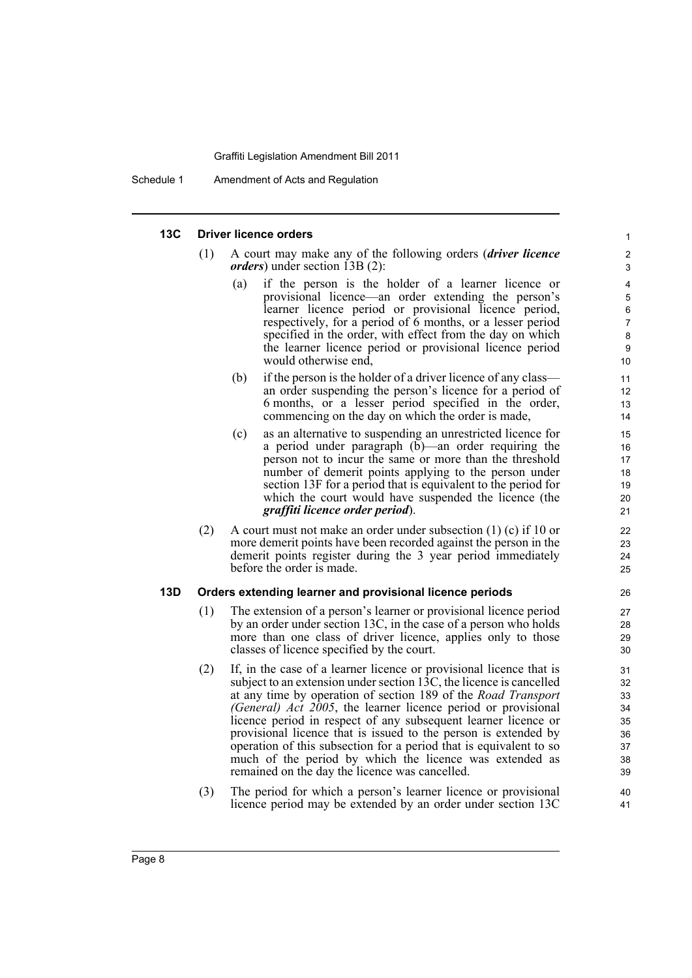#### **13C Driver licence orders**

- (1) A court may make any of the following orders (*driver licence orders*) under section 13B (2):
	- (a) if the person is the holder of a learner licence or provisional licence—an order extending the person's learner licence period or provisional licence period, respectively, for a period of 6 months, or a lesser period specified in the order, with effect from the day on which the learner licence period or provisional licence period would otherwise end,

- (b) if the person is the holder of a driver licence of any class an order suspending the person's licence for a period of 6 months, or a lesser period specified in the order, commencing on the day on which the order is made,
- (c) as an alternative to suspending an unrestricted licence for a period under paragraph (b)—an order requiring the person not to incur the same or more than the threshold number of demerit points applying to the person under section 13F for a period that is equivalent to the period for which the court would have suspended the licence (the *graffiti licence order period*).
- (2) A court must not make an order under subsection (1) (c) if 10 or more demerit points have been recorded against the person in the demerit points register during the 3 year period immediately before the order is made.

### **13D Orders extending learner and provisional licence periods**

- (1) The extension of a person's learner or provisional licence period by an order under section 13C, in the case of a person who holds more than one class of driver licence, applies only to those classes of licence specified by the court.
- (2) If, in the case of a learner licence or provisional licence that is subject to an extension under section 13C, the licence is cancelled at any time by operation of section 189 of the *Road Transport (General) Act 2005*, the learner licence period or provisional licence period in respect of any subsequent learner licence or provisional licence that is issued to the person is extended by operation of this subsection for a period that is equivalent to so much of the period by which the licence was extended as remained on the day the licence was cancelled.
- (3) The period for which a person's learner licence or provisional licence period may be extended by an order under section 13C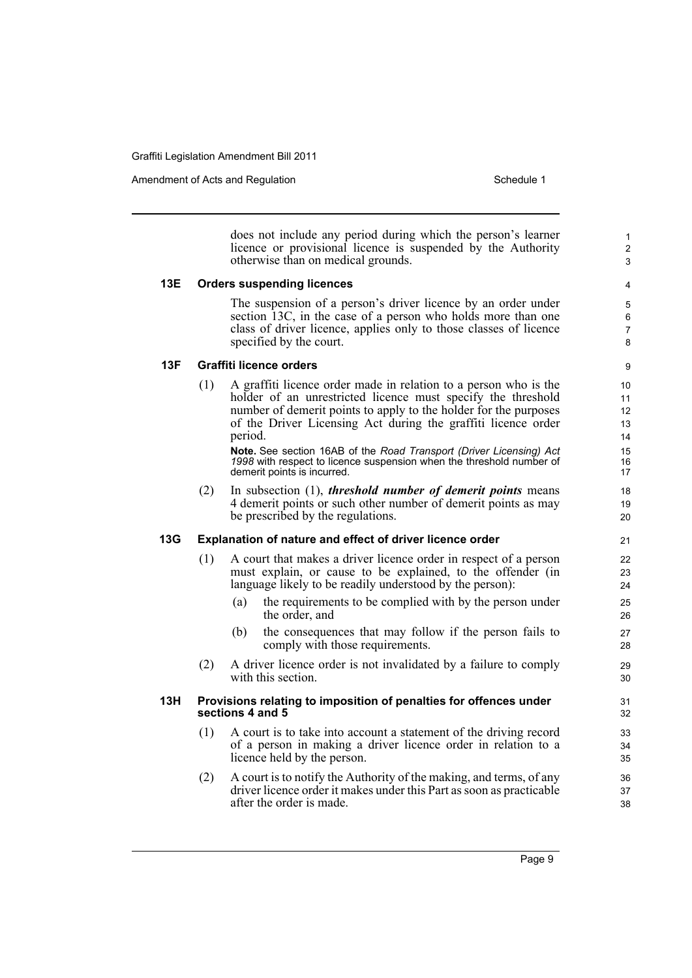Amendment of Acts and Regulation Schedule 1

does not include any period during which the person's learner licence or provisional licence is suspended by the Authority otherwise than on medical grounds.

### **13E Orders suspending licences**

The suspension of a person's driver licence by an order under section 13C, in the case of a person who holds more than one class of driver licence, applies only to those classes of licence specified by the court.

8 **9** 

1 2 3

### **13F Graffiti licence orders**

(1) A graffiti licence order made in relation to a person who is the holder of an unrestricted licence must specify the threshold number of demerit points to apply to the holder for the purposes of the Driver Licensing Act during the graffiti licence order period.

**Note.** See section 16AB of the *Road Transport (Driver Licensing) Act 1998* with respect to licence suspension when the threshold number of demerit points is incurred.

(2) In subsection (1), *threshold number of demerit points* means 4 demerit points or such other number of demerit points as may be prescribed by the regulations.

### **13G Explanation of nature and effect of driver licence order**

- (1) A court that makes a driver licence order in respect of a person must explain, or cause to be explained, to the offender (in language likely to be readily understood by the person):
	- (a) the requirements to be complied with by the person under the order, and
	- (b) the consequences that may follow if the person fails to comply with those requirements.
- (2) A driver licence order is not invalidated by a failure to comply with this section.

### **13H Provisions relating to imposition of penalties for offences under sections 4 and 5**

- (1) A court is to take into account a statement of the driving record of a person in making a driver licence order in relation to a licence held by the person.
- (2) A court is to notify the Authority of the making, and terms, of any driver licence order it makes under this Part as soon as practicable after the order is made.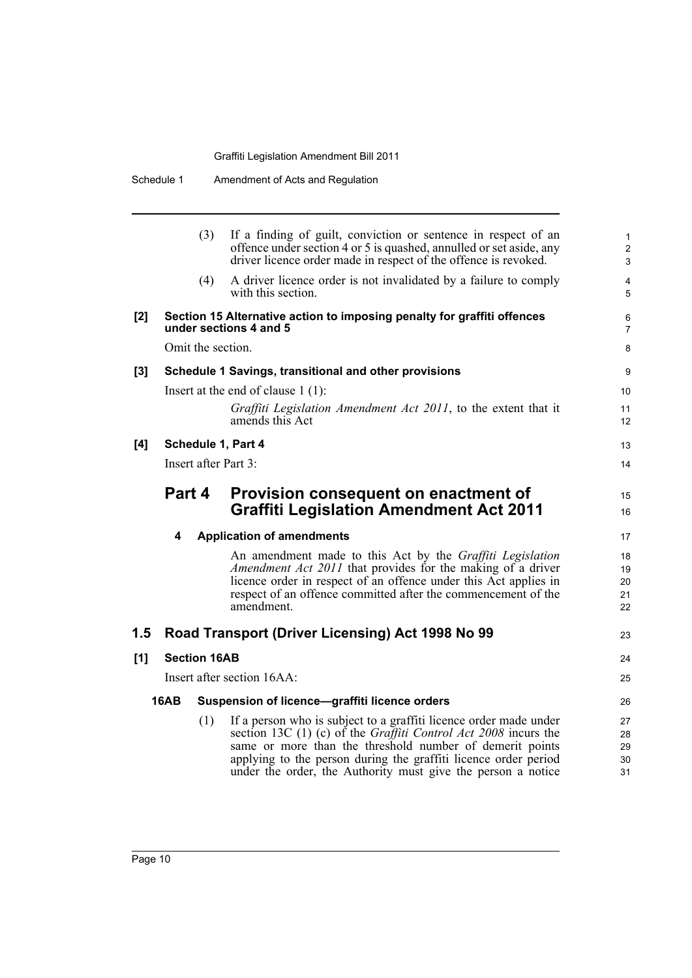|       | Schedule 1  |                     | Amendment of Acts and Regulation                                                                                                                                                                                                                                            |
|-------|-------------|---------------------|-----------------------------------------------------------------------------------------------------------------------------------------------------------------------------------------------------------------------------------------------------------------------------|
|       |             | (3)                 | If a finding of guilt, conviction or sentence in respect of an<br>offence under section 4 or 5 is quashed, annulled or set aside, any<br>driver licence order made in respect of the offence is revoked.                                                                    |
|       |             | (4)                 | A driver licence order is not invalidated by a failure to comply<br>with this section.                                                                                                                                                                                      |
| $[2]$ |             |                     | Section 15 Alternative action to imposing penalty for graffiti offences<br>under sections 4 and 5                                                                                                                                                                           |
|       |             | Omit the section.   |                                                                                                                                                                                                                                                                             |
| $[3]$ |             |                     | Schedule 1 Savings, transitional and other provisions                                                                                                                                                                                                                       |
|       |             |                     | Insert at the end of clause $1(1)$ :                                                                                                                                                                                                                                        |
|       |             |                     | Graffiti Legislation Amendment Act 2011, to the extent that it<br>amends this Act                                                                                                                                                                                           |
| [4]   |             |                     | Schedule 1, Part 4                                                                                                                                                                                                                                                          |
|       |             |                     | Insert after Part 3:                                                                                                                                                                                                                                                        |
|       | Part 4      |                     | Provision consequent on enactment of<br><b>Graffiti Legislation Amendment Act 2011</b>                                                                                                                                                                                      |
|       | 4           |                     | <b>Application of amendments</b>                                                                                                                                                                                                                                            |
|       |             |                     | An amendment made to this Act by the Graffiti Legislation<br>Amendment Act 2011 that provides for the making of a driver<br>licence order in respect of an offence under this Act applies in<br>respect of an offence committed after the commencement of the<br>amendment. |
| 1.5   |             |                     | Road Transport (Driver Licensing) Act 1998 No 99                                                                                                                                                                                                                            |
| [1]   |             | <b>Section 16AB</b> |                                                                                                                                                                                                                                                                             |
|       |             |                     | Insert after section 16AA:                                                                                                                                                                                                                                                  |
|       | <b>16AB</b> |                     | Suspension of licence-graffiti licence orders                                                                                                                                                                                                                               |
|       |             | (1)                 | If a person who is subject to a graffiti licence order made under<br>section 13C (1) (c) of the <i>Graffiti Control Act 2008</i> incurs the                                                                                                                                 |

6 7 8

15 16

23

24 25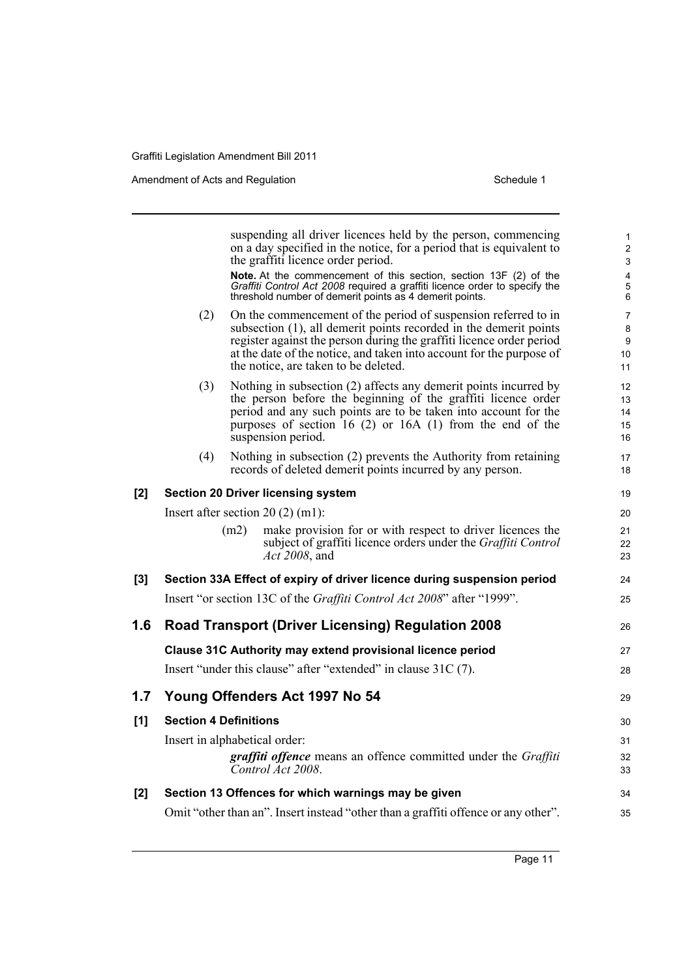Amendment of Acts and Regulation Schedule 1

|       |                               |      | suspending all driver licences held by the person, commencing<br>on a day specified in the notice, for a period that is equivalent to<br>the graffiti licence order period.<br>Note. At the commencement of this section, section 13F (2) of the<br>Graffiti Control Act 2008 required a graffiti licence order to specify the<br>threshold number of demerit points as 4 demerit points. | 1<br>$\overline{2}$<br>3<br>$\overline{\mathbf{4}}$<br>5<br>6 |
|-------|-------------------------------|------|-------------------------------------------------------------------------------------------------------------------------------------------------------------------------------------------------------------------------------------------------------------------------------------------------------------------------------------------------------------------------------------------|---------------------------------------------------------------|
|       | (2)                           |      | On the commencement of the period of suspension referred to in<br>subsection (1), all demerit points recorded in the demerit points<br>register against the person during the graffiti licence order period<br>at the date of the notice, and taken into account for the purpose of<br>the notice, are taken to be deleted.                                                               | $\overline{7}$<br>8<br>9<br>10<br>11                          |
|       | (3)                           |      | Nothing in subsection (2) affects any demerit points incurred by<br>the person before the beginning of the graffiti licence order<br>period and any such points are to be taken into account for the<br>purposes of section 16 $(2)$ or 16A $(1)$ from the end of the<br>suspension period.                                                                                               | 12<br>13<br>14<br>15<br>16                                    |
|       | (4)                           |      | Nothing in subsection (2) prevents the Authority from retaining<br>records of deleted demerit points incurred by any person.                                                                                                                                                                                                                                                              | 17<br>18                                                      |
| [2]   |                               |      | <b>Section 20 Driver licensing system</b>                                                                                                                                                                                                                                                                                                                                                 | 19                                                            |
|       |                               |      | Insert after section $20(2)$ (m1):                                                                                                                                                                                                                                                                                                                                                        | 20                                                            |
|       |                               | (m2) | make provision for or with respect to driver licences the<br>subject of graffiti licence orders under the <i>Graffiti Control</i><br>Act 2008, and                                                                                                                                                                                                                                        | 21<br>22<br>23                                                |
| $[3]$ |                               |      | Section 33A Effect of expiry of driver licence during suspension period                                                                                                                                                                                                                                                                                                                   | 24                                                            |
|       |                               |      | Insert "or section 13C of the Graffiti Control Act 2008" after "1999".                                                                                                                                                                                                                                                                                                                    | 25                                                            |
| 1.6   |                               |      | <b>Road Transport (Driver Licensing) Regulation 2008</b>                                                                                                                                                                                                                                                                                                                                  | 26                                                            |
|       |                               |      | Clause 31C Authority may extend provisional licence period                                                                                                                                                                                                                                                                                                                                | 27                                                            |
|       |                               |      | Insert "under this clause" after "extended" in clause 31C (7).                                                                                                                                                                                                                                                                                                                            | 28                                                            |
| 1.7   |                               |      | Young Offenders Act 1997 No 54                                                                                                                                                                                                                                                                                                                                                            | 29                                                            |
| [1]   | <b>Section 4 Definitions</b>  |      |                                                                                                                                                                                                                                                                                                                                                                                           | 30                                                            |
|       | Insert in alphabetical order: |      | graffiti offence means an offence committed under the Graffiti<br>Control Act 2008.                                                                                                                                                                                                                                                                                                       | 31<br>32<br>33                                                |
| [2]   |                               |      | Section 13 Offences for which warnings may be given                                                                                                                                                                                                                                                                                                                                       | 34                                                            |
|       |                               |      | Omit "other than an". Insert instead "other than a graffiti offence or any other".                                                                                                                                                                                                                                                                                                        | 35                                                            |
|       |                               |      |                                                                                                                                                                                                                                                                                                                                                                                           |                                                               |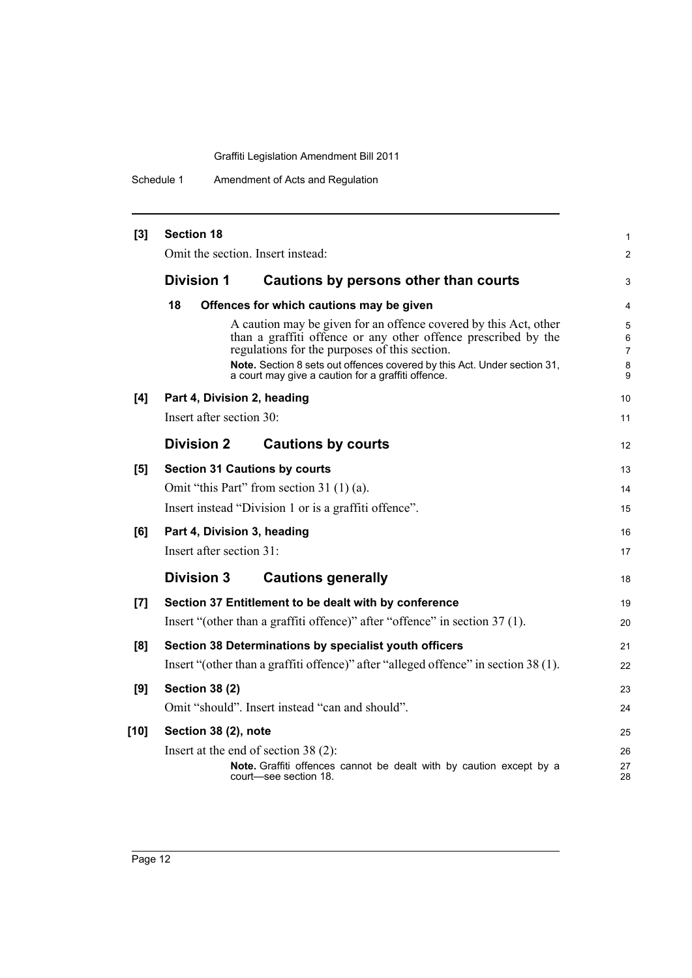Schedule 1 Amendment of Acts and Regulation

| $[3]$  | <b>Section 18</b>                    |                                                                                                                                                                                                                                                                                                                       | $\mathbf{1}$                                    |
|--------|--------------------------------------|-----------------------------------------------------------------------------------------------------------------------------------------------------------------------------------------------------------------------------------------------------------------------------------------------------------------------|-------------------------------------------------|
|        | Omit the section. Insert instead:    |                                                                                                                                                                                                                                                                                                                       | 2                                               |
|        | <b>Division 1</b>                    | Cautions by persons other than courts                                                                                                                                                                                                                                                                                 | 3                                               |
|        | 18                                   | Offences for which cautions may be given                                                                                                                                                                                                                                                                              | 4                                               |
|        |                                      | A caution may be given for an offence covered by this Act, other<br>than a graffiti offence or any other offence prescribed by the<br>regulations for the purposes of this section.<br>Note. Section 8 sets out offences covered by this Act. Under section 31,<br>a court may give a caution for a graffiti offence. | $\overline{5}$<br>6<br>$\overline{7}$<br>8<br>9 |
| [4]    | Part 4, Division 2, heading          |                                                                                                                                                                                                                                                                                                                       | 10                                              |
|        | Insert after section 30:             |                                                                                                                                                                                                                                                                                                                       | 11                                              |
|        | <b>Division 2</b>                    | <b>Cautions by courts</b>                                                                                                                                                                                                                                                                                             | 12                                              |
| [5]    | <b>Section 31 Cautions by courts</b> |                                                                                                                                                                                                                                                                                                                       | 13                                              |
|        |                                      | Omit "this Part" from section 31 (1) (a).                                                                                                                                                                                                                                                                             | 14                                              |
|        |                                      | Insert instead "Division 1 or is a graffiti offence".                                                                                                                                                                                                                                                                 | 15                                              |
| [6]    | Part 4, Division 3, heading          |                                                                                                                                                                                                                                                                                                                       | 16                                              |
|        | Insert after section 31:             |                                                                                                                                                                                                                                                                                                                       | 17                                              |
|        | <b>Division 3</b>                    | <b>Cautions generally</b>                                                                                                                                                                                                                                                                                             | 18                                              |
| $[7]$  |                                      | Section 37 Entitlement to be dealt with by conference                                                                                                                                                                                                                                                                 | 19                                              |
|        |                                      | Insert "(other than a graffiti offence)" after "offence" in section 37 (1).                                                                                                                                                                                                                                           | 20                                              |
| [8]    |                                      | Section 38 Determinations by specialist youth officers                                                                                                                                                                                                                                                                | 21                                              |
|        |                                      | Insert "(other than a graffiti offence)" after "alleged offence" in section 38 (1).                                                                                                                                                                                                                                   | 22                                              |
| [9]    | <b>Section 38 (2)</b>                |                                                                                                                                                                                                                                                                                                                       | 23                                              |
|        |                                      | Omit "should". Insert instead "can and should".                                                                                                                                                                                                                                                                       | 24                                              |
| $[10]$ | Section 38 (2), note                 |                                                                                                                                                                                                                                                                                                                       | 25                                              |
|        |                                      | Insert at the end of section $38(2)$ :                                                                                                                                                                                                                                                                                | 26                                              |
|        |                                      | Note. Graffiti offences cannot be dealt with by caution except by a<br>court-see section 18.                                                                                                                                                                                                                          | 27<br>28                                        |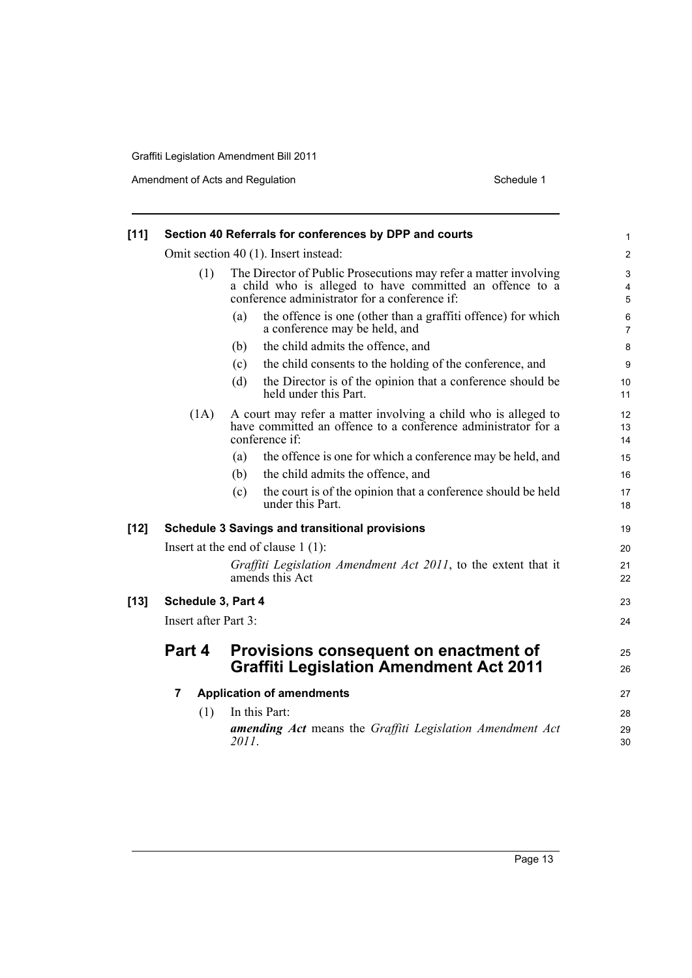Amendment of Acts and Regulation Schedule 1

| $[11]$ |                                                                                                   | Section 40 Referrals for conferences by DPP and courts                                                                                                                        | $\mathbf{1}$             |  |
|--------|---------------------------------------------------------------------------------------------------|-------------------------------------------------------------------------------------------------------------------------------------------------------------------------------|--------------------------|--|
|        | Omit section 40 (1). Insert instead:                                                              |                                                                                                                                                                               |                          |  |
|        | (1)                                                                                               | The Director of Public Prosecutions may refer a matter involving<br>a child who is alleged to have committed an offence to a<br>conference administrator for a conference if: | 3<br>$\overline{4}$<br>5 |  |
|        |                                                                                                   | the offence is one (other than a graffiti offence) for which<br>(a)<br>a conference may be held, and                                                                          | $\,6$<br>$\overline{7}$  |  |
|        |                                                                                                   | the child admits the offence, and<br>(b)                                                                                                                                      | 8                        |  |
|        |                                                                                                   | the child consents to the holding of the conference, and<br>(c)                                                                                                               | 9                        |  |
|        |                                                                                                   | the Director is of the opinion that a conference should be<br>(d)<br>held under this Part.                                                                                    | 10<br>11                 |  |
|        | (1A)                                                                                              | A court may refer a matter involving a child who is alleged to<br>have committed an offence to a conference administrator for a<br>conference if:                             | 12<br>13<br>14           |  |
|        |                                                                                                   | the offence is one for which a conference may be held, and<br>(a)                                                                                                             | 15                       |  |
|        |                                                                                                   | the child admits the offence, and<br>(b)                                                                                                                                      | 16                       |  |
|        |                                                                                                   | the court is of the opinion that a conference should be held<br>(c)<br>under this Part.                                                                                       | 17<br>18                 |  |
| $[12]$ |                                                                                                   | <b>Schedule 3 Savings and transitional provisions</b>                                                                                                                         | 19                       |  |
|        |                                                                                                   | Insert at the end of clause $1(1)$ :                                                                                                                                          | 20                       |  |
|        |                                                                                                   | Graffiti Legislation Amendment Act 2011, to the extent that it<br>amends this Act                                                                                             | 21<br>22                 |  |
| $[13]$ | Schedule 3, Part 4                                                                                |                                                                                                                                                                               | 23                       |  |
|        | Insert after Part 3:                                                                              |                                                                                                                                                                               |                          |  |
|        | Part 4<br>Provisions consequent on enactment of<br><b>Graffiti Legislation Amendment Act 2011</b> |                                                                                                                                                                               |                          |  |
|        | 7                                                                                                 | <b>Application of amendments</b>                                                                                                                                              | 27                       |  |
|        | (1)                                                                                               | In this Part:                                                                                                                                                                 | 28                       |  |
|        |                                                                                                   | <b>amending Act</b> means the Graffiti Legislation Amendment Act<br>2011.                                                                                                     | 29<br>30                 |  |